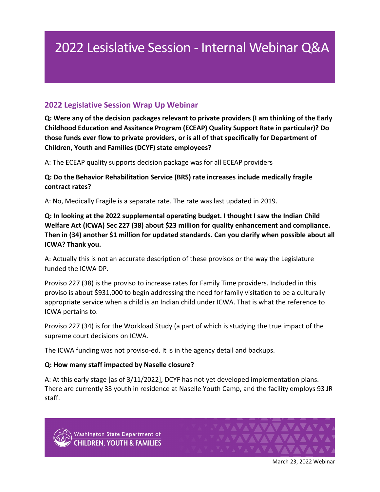# 2022 Lesislative Session - Internal Webinar Q&A

## **2022 Legislative Session Wrap Up Webinar**

**Q: Were any of the decision packages relevant to private providers (I am thinking of the Early Childhood Education and Assitance Program (ECEAP) Quality Support Rate in particular)? Do those funds ever flow to private providers, or is all of that specifically for Department of Children, Youth and Families (DCYF) state employees?**

A: The ECEAP quality supports decision package was for all ECEAP providers

**Q: Do the Behavior Rehabilitation Service (BRS) rate increases include medically fragile contract rates?**

A: No, Medically Fragile is a separate rate. The rate was last updated in 2019.

**Q: In looking at the 2022 supplemental operating budget. I thought I saw the Indian Child Welfare Act (ICWA) Sec 227 (38) about \$23 million for quality enhancement and compliance. Then in (34) another \$1 million for updated standards. Can you clarify when possible about all ICWA? Thank you.**

A: Actually this is not an accurate description of these provisos or the way the Legislature funded the ICWA DP.

Proviso 227 (38) is the proviso to increase rates for Family Time providers. Included in this proviso is about \$931,000 to begin addressing the need for family visitation to be a culturally appropriate service when a child is an Indian child under ICWA. That is what the reference to ICWA pertains to.

Proviso 227 (34) is for the Workload Study (a part of which is studying the true impact of the supreme court decisions on ICWA.

The ICWA funding was not proviso-ed. It is in the agency detail and backups.

#### **Q: How many staff impacted by Naselle closure?**

A: At this early stage [as of 3/11/2022], DCYF has not yet developed implementation plans. There are currently 33 youth in residence at Naselle Youth Camp, and the facility employs 93 JR staff.





March 23, 2022 Webinar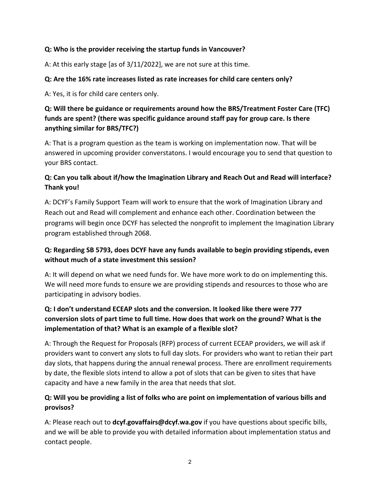#### **Q: Who is the provider receiving the startup funds in Vancouver?**

A: At this early stage [as of 3/11/2022], we are not sure at this time.

#### **Q: Are the 16% rate increases listed as rate increases for child care centers only?**

A: Yes, it is for child care centers only.

#### **Q: Will there be guidance or requirements around how the BRS/Treatment Foster Care (TFC) funds are spent? (there was specific guidance around staff pay for group care. Is there anything similar for BRS/TFC?)**

A: That is a program question as the team is working on implementation now. That will be answered in upcoming provider converstatons. I would encourage you to send that question to your BRS contact.

## **Q: Can you talk about if/how the Imagination Library and Reach Out and Read will interface? Thank you!**

A: DCYF's Family Support Team will work to ensure that the work of Imagination Library and Reach out and Read will complement and enhance each other. Coordination between the programs will begin once DCYF has selected the nonprofit to implement the Imagination Library program established through 2068.

## **Q: Regarding SB 5793, does DCYF have any funds available to begin providing stipends, even without much of a state investment this session?**

A: It will depend on what we need funds for. We have more work to do on implementing this. We will need more funds to ensure we are providing stipends and resources to those who are participating in advisory bodies.

## **Q: I don't understand ECEAP slots and the conversion. It looked like there were 777 conversion slots of part time to full time. How does that work on the ground? What is the implementation of that? What is an example of a flexible slot?**

A: Through the Request for Proposals (RFP) process of current ECEAP providers, we will ask if providers want to convert any slots to full day slots. For providers who want to retian their part day slots, that happens during the annual renewal process. There are enrollment requirements by date, the flexible slots intend to allow a pot of slots that can be given to sites that have capacity and have a new family in the area that needs that slot.

## **Q: Will you be providing a list of folks who are point on implementation of various bills and provisos?**

A: Please reach out to **[dcyf.govaffairs@dcyf.wa.gov](mailto:dcyf.govaffairs@dcyf.wa.gov)** if you have questions about specific bills, and we will be able to provide you with detailed information about implementation status and contact people.